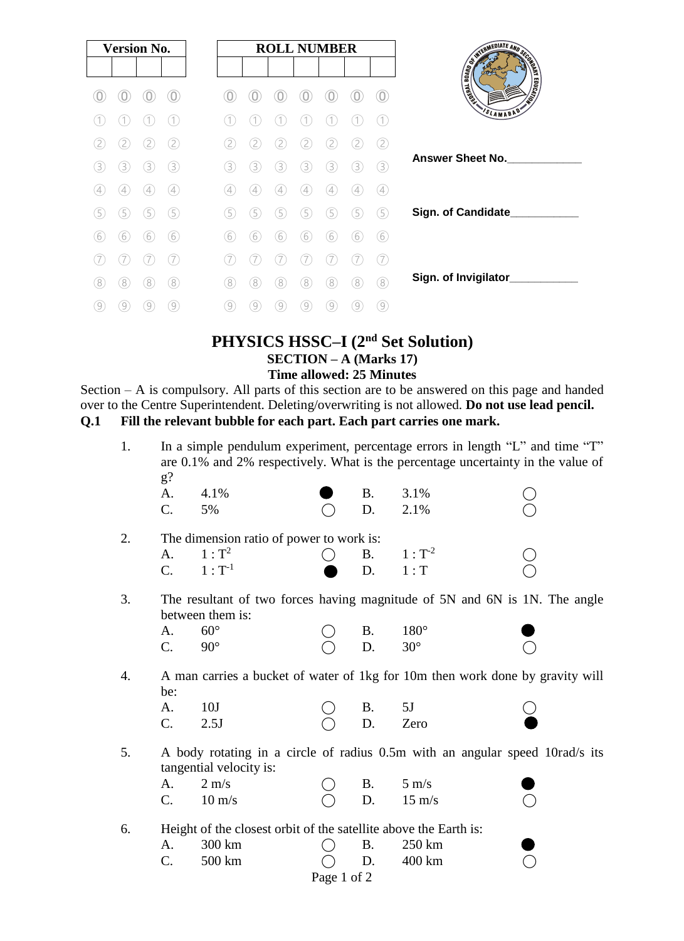| <b>Version No.</b> |                                                                                                                                                                                  |               |     |               | <b>ROLL NUMBER</b> |               |                  |   |                |     |                           |
|--------------------|----------------------------------------------------------------------------------------------------------------------------------------------------------------------------------|---------------|-----|---------------|--------------------|---------------|------------------|---|----------------|-----|---------------------------|
|                    |                                                                                                                                                                                  |               |     |               |                    |               |                  |   |                |     |                           |
|                    |                                                                                                                                                                                  |               |     |               |                    |               |                  |   |                |     | AND REDIATE AND SCRIPTION |
|                    |                                                                                                                                                                                  |               |     |               |                    |               |                  |   |                | 1   | SLAMABAD'                 |
| 2                  | $[2] % \includegraphics[width=0.9\columnwidth]{figures/20000.pdf} \caption{The graph $\mathcal{N}_1$ is a function of the input and the number of input regions.} \label{fig:2}$ | 2             | 2.  | 2             | 2                  |               | 2                |   |                | (2) |                           |
| 3                  | 3)                                                                                                                                                                               | 3.            | 3   | 3.            | 3                  | 3             | 3                | 3 | З              | 3   | <b>Answer Sheet No.</b>   |
| 4                  | 4                                                                                                                                                                                | $\frac{1}{2}$ | (4) | $\frac{1}{2}$ | $\overline{4}$     | $\frac{1}{2}$ | 4                | 4 | $\overline{A}$ | (4) |                           |
| 5                  | 5                                                                                                                                                                                | 5             | 5   | 5             | 5                  | 5             | 5                | 5 | 5              | (5) | Sign. of Candidate        |
| 6                  | 6                                                                                                                                                                                | 6             | (6) | (6)           | 6                  | 6             | 6                | 6 | 6              | 6   |                           |
|                    |                                                                                                                                                                                  |               |     |               |                    |               |                  |   |                | (7  |                           |
| (8)                | (8)                                                                                                                                                                              | 8             | (8) | (8)           | (8)                | (8)           | $\left(8\right)$ | 8 | (8             | (8) | Sign. of Invigilator_     |
| 9                  | 9                                                                                                                                                                                |               | 9   | 9             | 9                  | 9             | 9                | 9 | 9              | 9   |                           |

## **PHYSICS HSSC–I (2nd Set Solution) SECTION – A (Marks 17) Time allowed: 25 Minutes**

Section – A is compulsory. All parts of this section are to be answered on this page and handed over to the Centre Superintendent. Deleting/overwriting is not allowed. **Do not use lead pencil. Q.1 Fill the relevant bubble for each part. Each part carries one mark.** 

| 1.               | $g$ ?                                                                                                   |                  | In a simple pendulum experiment, percentage errors in length "L" and time "T"<br>are 0.1% and 2% respectively. What is the percentage uncertainty in the value of |           |                  |  |  |  |  |  |
|------------------|---------------------------------------------------------------------------------------------------------|------------------|-------------------------------------------------------------------------------------------------------------------------------------------------------------------|-----------|------------------|--|--|--|--|--|
|                  | A.                                                                                                      | 4.1%             |                                                                                                                                                                   | <b>B.</b> | 3.1%             |  |  |  |  |  |
|                  | C.                                                                                                      | 5%               |                                                                                                                                                                   | D.        | 2.1%             |  |  |  |  |  |
|                  |                                                                                                         |                  |                                                                                                                                                                   |           |                  |  |  |  |  |  |
| 2.               | The dimension ratio of power to work is:                                                                |                  |                                                                                                                                                                   |           |                  |  |  |  |  |  |
|                  | A.                                                                                                      | $1: T^2$         |                                                                                                                                                                   | <b>B.</b> | $1: T^{-2}$      |  |  |  |  |  |
|                  | C.                                                                                                      | $1: T^{-1}$      |                                                                                                                                                                   | D.        | 1: T             |  |  |  |  |  |
|                  |                                                                                                         |                  |                                                                                                                                                                   |           |                  |  |  |  |  |  |
| 3.               | The resultant of two forces having magnitude of 5N and 6N is 1N. The angle<br>between them is:          |                  |                                                                                                                                                                   |           |                  |  |  |  |  |  |
|                  |                                                                                                         | $60^\circ$       |                                                                                                                                                                   |           |                  |  |  |  |  |  |
|                  | A.                                                                                                      |                  |                                                                                                                                                                   | <b>B.</b> | $180^\circ$      |  |  |  |  |  |
|                  | $\mathcal{C}$ .                                                                                         | $90^\circ$       |                                                                                                                                                                   | D.        | $30^\circ$       |  |  |  |  |  |
| $\overline{4}$ . | A man carries a bucket of water of 1kg for 10m then work done by gravity will<br>be:                    |                  |                                                                                                                                                                   |           |                  |  |  |  |  |  |
|                  | A.                                                                                                      | 10J              |                                                                                                                                                                   | <b>B.</b> | 5J               |  |  |  |  |  |
|                  | $C$ .                                                                                                   | 2.5J             |                                                                                                                                                                   | D.        | Zero             |  |  |  |  |  |
|                  |                                                                                                         |                  |                                                                                                                                                                   |           |                  |  |  |  |  |  |
| 5.               | A body rotating in a circle of radius 0.5m with an angular speed 10rad/s its<br>tangential velocity is: |                  |                                                                                                                                                                   |           |                  |  |  |  |  |  |
|                  | A.                                                                                                      | $2 \text{ m/s}$  |                                                                                                                                                                   | <b>B.</b> | $5 \text{ m/s}$  |  |  |  |  |  |
|                  | $\mathcal{C}$ .                                                                                         | $10 \text{ m/s}$ |                                                                                                                                                                   | D.        | $15 \text{ m/s}$ |  |  |  |  |  |
|                  |                                                                                                         |                  |                                                                                                                                                                   |           |                  |  |  |  |  |  |
| 6.               | Height of the closest orbit of the satellite above the Earth is:                                        |                  |                                                                                                                                                                   |           |                  |  |  |  |  |  |
|                  | A.                                                                                                      | 300 km           |                                                                                                                                                                   | <b>B.</b> | 250 km           |  |  |  |  |  |
|                  | $C$ .                                                                                                   | 500 km           |                                                                                                                                                                   | D.        | 400 km           |  |  |  |  |  |
|                  | Page 1 of 2                                                                                             |                  |                                                                                                                                                                   |           |                  |  |  |  |  |  |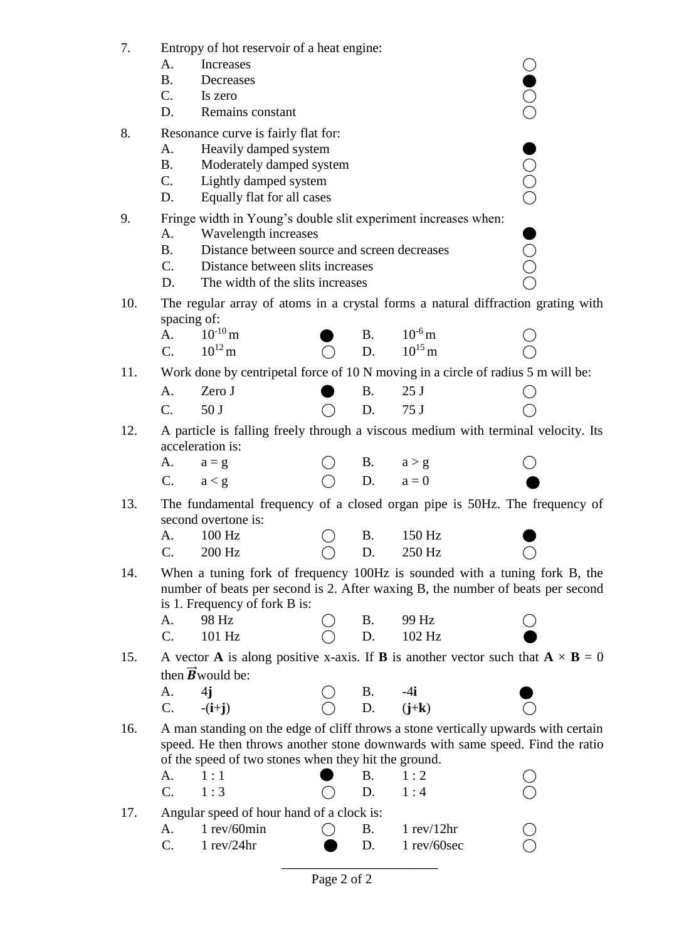| 7.  | Entropy of hot reservoir of a heat engine:                                                                             |                                                                                  |  |           |                   |  |  |  |  |  |  |
|-----|------------------------------------------------------------------------------------------------------------------------|----------------------------------------------------------------------------------|--|-----------|-------------------|--|--|--|--|--|--|
|     | A.                                                                                                                     | Increases                                                                        |  |           |                   |  |  |  |  |  |  |
|     | <b>B.</b>                                                                                                              | Decreases                                                                        |  |           |                   |  |  |  |  |  |  |
|     | C.                                                                                                                     | Is zero<br>Remains constant                                                      |  |           |                   |  |  |  |  |  |  |
|     | D.                                                                                                                     |                                                                                  |  |           |                   |  |  |  |  |  |  |
| 8.  | Resonance curve is fairly flat for:                                                                                    |                                                                                  |  |           |                   |  |  |  |  |  |  |
|     | A.                                                                                                                     | Heavily damped system                                                            |  |           |                   |  |  |  |  |  |  |
|     | <b>B.</b>                                                                                                              | Moderately damped system                                                         |  |           |                   |  |  |  |  |  |  |
|     | C.                                                                                                                     | OOO<br>Lightly damped system                                                     |  |           |                   |  |  |  |  |  |  |
|     | D.                                                                                                                     | Equally flat for all cases                                                       |  |           |                   |  |  |  |  |  |  |
| 9.  | Fringe width in Young's double slit experiment increases when:                                                         |                                                                                  |  |           |                   |  |  |  |  |  |  |
|     | A.                                                                                                                     | Wavelength increases                                                             |  |           |                   |  |  |  |  |  |  |
|     | <b>B.</b>                                                                                                              | Distance between source and screen decreases                                     |  |           |                   |  |  |  |  |  |  |
|     | C.                                                                                                                     | Distance between slits increases                                                 |  |           |                   |  |  |  |  |  |  |
|     | D.                                                                                                                     | The width of the slits increases                                                 |  |           |                   |  |  |  |  |  |  |
| 10. | The regular array of atoms in a crystal forms a natural diffraction grating with                                       |                                                                                  |  |           |                   |  |  |  |  |  |  |
|     |                                                                                                                        | spacing of:                                                                      |  |           |                   |  |  |  |  |  |  |
|     | A.                                                                                                                     | $10^{-10}$ m                                                                     |  | <b>B.</b> | $10^{-6}$ m       |  |  |  |  |  |  |
|     | C.                                                                                                                     | $10^{12}$ m                                                                      |  | D.        | $10^{15}$ m       |  |  |  |  |  |  |
| 11. |                                                                                                                        | Work done by centripetal force of 10 N moving in a circle of radius 5 m will be: |  |           |                   |  |  |  |  |  |  |
|     | A.                                                                                                                     | Zero J                                                                           |  | <b>B.</b> | 25J               |  |  |  |  |  |  |
|     | C.                                                                                                                     | 50J                                                                              |  | D.        | 75 J              |  |  |  |  |  |  |
| 12. | A particle is falling freely through a viscous medium with terminal velocity. Its                                      |                                                                                  |  |           |                   |  |  |  |  |  |  |
|     |                                                                                                                        | acceleration is:                                                                 |  |           |                   |  |  |  |  |  |  |
|     | А.                                                                                                                     | $a = g$                                                                          |  | <b>B.</b> | a > g             |  |  |  |  |  |  |
|     | C.                                                                                                                     | a < g                                                                            |  | D.        | $a = 0$           |  |  |  |  |  |  |
|     |                                                                                                                        |                                                                                  |  |           |                   |  |  |  |  |  |  |
| 13. | The fundamental frequency of a closed organ pipe is 50Hz. The frequency of<br>second overtone is:                      |                                                                                  |  |           |                   |  |  |  |  |  |  |
|     |                                                                                                                        |                                                                                  |  |           | 150 Hz            |  |  |  |  |  |  |
|     | А.                                                                                                                     | 100 Hz                                                                           |  | <b>B.</b> |                   |  |  |  |  |  |  |
|     | C.                                                                                                                     | 200 Hz                                                                           |  | D.        | 250 Hz            |  |  |  |  |  |  |
| 14. | When a tuning fork of frequency 100Hz is sounded with a tuning fork B, the                                             |                                                                                  |  |           |                   |  |  |  |  |  |  |
|     | number of beats per second is 2. After waxing B, the number of beats per second<br>is 1. Frequency of fork B is:       |                                                                                  |  |           |                   |  |  |  |  |  |  |
|     | А.                                                                                                                     | 98 Hz                                                                            |  | Β.        | 99 Hz             |  |  |  |  |  |  |
|     | C.                                                                                                                     | 101 Hz                                                                           |  | D.        | 102 Hz            |  |  |  |  |  |  |
|     |                                                                                                                        |                                                                                  |  |           |                   |  |  |  |  |  |  |
| 15. | A vector <b>A</b> is along positive x-axis. If <b>B</b> is another vector such that $\mathbf{A} \times \mathbf{B} = 0$ |                                                                                  |  |           |                   |  |  |  |  |  |  |
|     |                                                                                                                        | then $\vec{B}$ would be:                                                         |  |           |                   |  |  |  |  |  |  |
|     | А.                                                                                                                     | 4j                                                                               |  | <b>B.</b> | $-4i$             |  |  |  |  |  |  |
|     | C.                                                                                                                     | $-(i+j)$                                                                         |  |           | D. $(j+k)$        |  |  |  |  |  |  |
| 16. | A man standing on the edge of cliff throws a stone vertically upwards with certain                                     |                                                                                  |  |           |                   |  |  |  |  |  |  |
|     | speed. He then throws another stone downwards with same speed. Find the ratio                                          |                                                                                  |  |           |                   |  |  |  |  |  |  |
|     |                                                                                                                        | of the speed of two stones when they hit the ground.                             |  |           |                   |  |  |  |  |  |  |
|     | А.                                                                                                                     | 1:1                                                                              |  | <b>B.</b> | 1:2               |  |  |  |  |  |  |
|     | $\mathcal{C}$ .                                                                                                        | 1:3                                                                              |  | D.        | 1:4               |  |  |  |  |  |  |
| 17. | Angular speed of hour hand of a clock is:                                                                              |                                                                                  |  |           |                   |  |  |  |  |  |  |
|     | А.                                                                                                                     | 1 rev/60min                                                                      |  | <b>B.</b> | $1$ rev/ $12$ hr  |  |  |  |  |  |  |
|     | C.                                                                                                                     | $1$ rev/24hr                                                                     |  | D.        | $1$ rev/ $60$ sec |  |  |  |  |  |  |
|     |                                                                                                                        |                                                                                  |  |           |                   |  |  |  |  |  |  |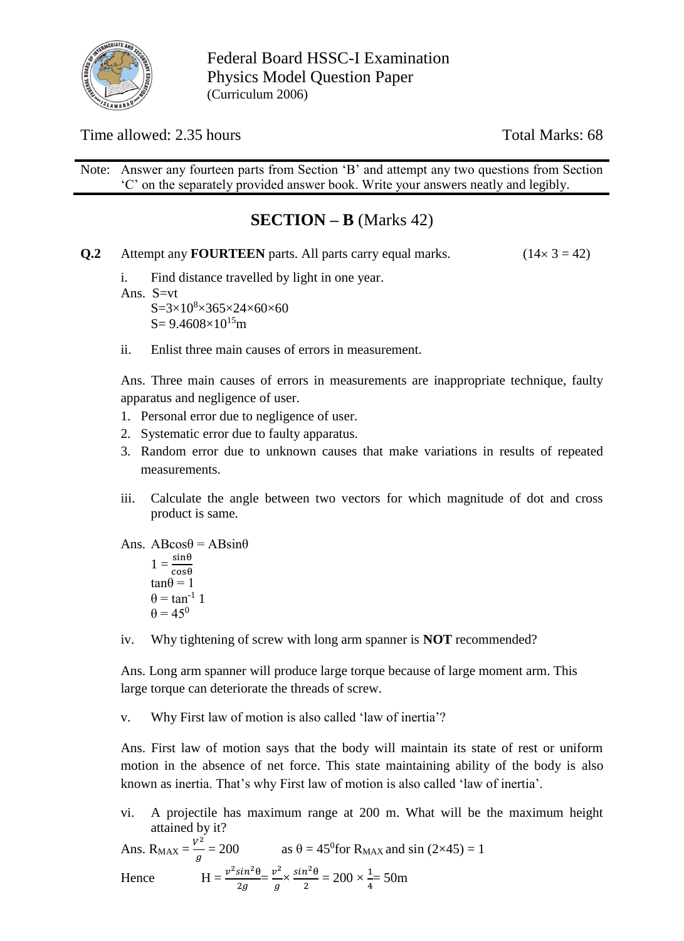

Federal Board HSSC-I Examination Physics Model Question Paper (Curriculum 2006)

Time allowed: 2.35 hours Total Marks: 68

Note: Answer any fourteen parts from Section 'B' and attempt any two questions from Section 'C' on the separately provided answer book. Write your answers neatly and legibly.

# **SECTION – B** (Marks 42)

- **Q.2** Attempt any **FOURTEEN** parts. All parts carry equal marks.  $(14 \times 3 = 42)$ 
	- i. Find distance travelled by light in one year.
	- Ans. S=vt

 $S = 3 \times 10^8 \times 365 \times 24 \times 60 \times 60$  $S = 9.4608 \times 10^{15}$ m

ii. Enlist three main causes of errors in measurement.

Ans. Three main causes of errors in measurements are inappropriate technique, faulty apparatus and negligence of user.

- 1. Personal error due to negligence of user.
- 2. Systematic error due to faulty apparatus.
- 3. Random error due to unknown causes that make variations in results of repeated measurements.
- iii. Calculate the angle between two vectors for which magnitude of dot and cross product is same.

Ans. 
$$
AB\cos\theta = AB\sin\theta
$$

$$
1 = \frac{\sin\theta}{\cos\theta}
$$

$$
\tan\theta = 1
$$

$$
\theta = \tan^{-1} 1
$$

$$
\theta = 45^{\circ}
$$

iv. Why tightening of screw with long arm spanner is **NOT** recommended?

Ans. Long arm spanner will produce large torque because of large moment arm. This large torque can deteriorate the threads of screw.

v. Why First law of motion is also called 'law of inertia'?

Ans. First law of motion says that the body will maintain its state of rest or uniform motion in the absence of net force. This state maintaining ability of the body is also known as inertia. That's why First law of motion is also called 'law of inertia'.

vi. A projectile has maximum range at 200 m. What will be the maximum height attained by it?

Ans. R<sub>MAX</sub> = 
$$
\frac{v^2}{g}
$$
 = 200 as  $\theta = 45^{\circ}$  for R<sub>MAX</sub> and sin (2×45) = 1  
\nHence 
$$
H = \frac{v^2 \sin^2 \theta}{2g} = \frac{v^2}{g} \times \frac{\sin^2 \theta}{2} = 200 \times \frac{1}{4} = 50m
$$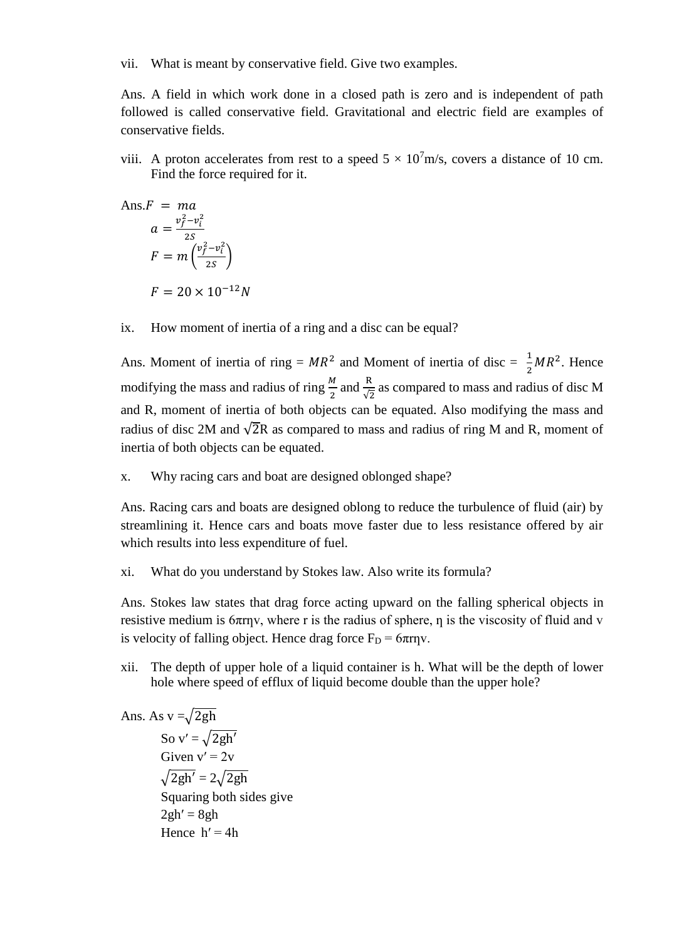vii. What is meant by conservative field. Give two examples.

Ans. A field in which work done in a closed path is zero and is independent of path followed is called conservative field. Gravitational and electric field are examples of conservative fields.

viii. A proton accelerates from rest to a speed  $5 \times 10^7$ m/s, covers a distance of 10 cm. Find the force required for it.

Ans.F = ma  
\n
$$
a = \frac{v_f^2 - v_t^2}{2S}
$$
\n
$$
F = m \left(\frac{v_f^2 - v_t^2}{2S}\right)
$$
\n
$$
F = 20 \times 10^{-12} N
$$

ix. How moment of inertia of a ring and a disc can be equal?

Ans. Moment of inertia of ring =  $MR^2$  and Moment of inertia of disc =  $\frac{1}{2}MR^2$ . Hence 2 modifying the mass and radius of ring  $\frac{M}{2}$  and  $\frac{R}{\sqrt{2}}$  as compared to mass and radius of disc M and R, moment of inertia of both objects can be equated. Also modifying the mass and radius of disc 2M and  $\sqrt{2}R$  as compared to mass and radius of ring M and R, moment of inertia of both objects can be equated.

x. Why racing cars and boat are designed oblonged shape?

Ans. Racing cars and boats are designed oblong to reduce the turbulence of fluid (air) by streamlining it. Hence cars and boats move faster due to less resistance offered by air which results into less expenditure of fuel.

xi. What do you understand by Stokes law. Also write its formula?

Ans. Stokes law states that drag force acting upward on the falling spherical objects in resistive medium is  $6\pi r\gamma$ , where r is the radius of sphere,  $\eta$  is the viscosity of fluid and v is velocity of falling object. Hence drag force  $F_D = 6\pi r \eta v$ .

xii. The depth of upper hole of a liquid container is h. What will be the depth of lower hole where speed of efflux of liquid become double than the upper hole?

Ans. As 
$$
v = \sqrt{2gh}
$$
  
\nSo  $v' = \sqrt{2gh'}$   
\nGiven  $v' = 2v$   
\n $\sqrt{2gh'} = 2\sqrt{2gh}$   
\nSquaring both sides give  
\n $2gh' = 8gh$   
\nHence  $h' = 4h$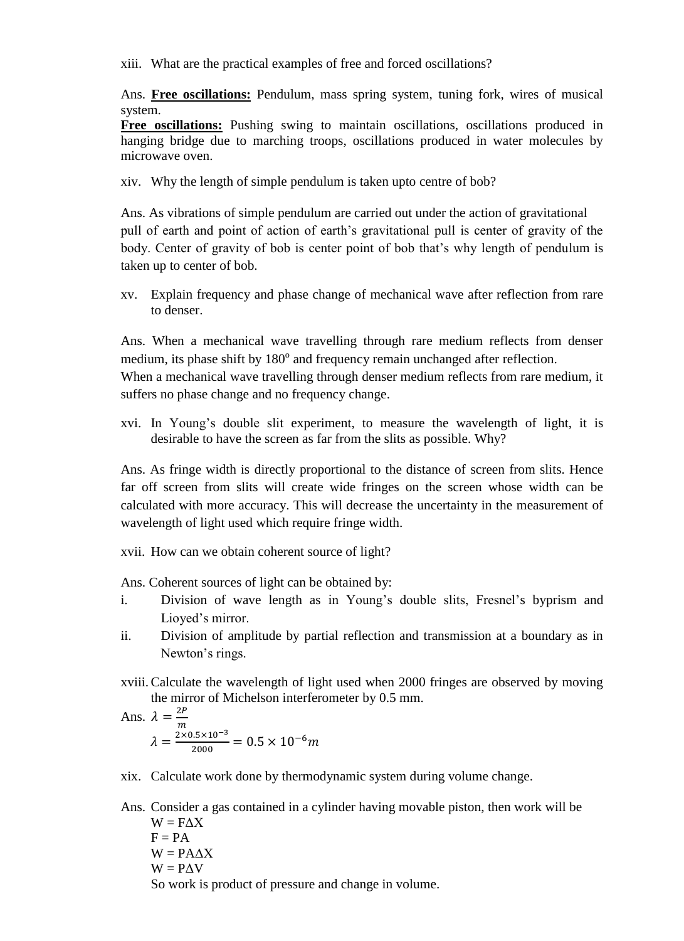xiii. What are the practical examples of free and forced oscillations?

Ans. **Free oscillations:** Pendulum, mass spring system, tuning fork, wires of musical system.

**Free oscillations:** Pushing swing to maintain oscillations, oscillations produced in hanging bridge due to marching troops, oscillations produced in water molecules by microwave oven.

xiv. Why the length of simple pendulum is taken upto centre of bob?

Ans. As vibrations of simple pendulum are carried out under the action of gravitational pull of earth and point of action of earth's gravitational pull is center of gravity of the body. Center of gravity of bob is center point of bob that's why length of pendulum is taken up to center of bob.

xv. Explain frequency and phase change of mechanical wave after reflection from rare to denser.

Ans. When a mechanical wave travelling through rare medium reflects from denser medium, its phase shift by 180° and frequency remain unchanged after reflection. When a mechanical wave travelling through denser medium reflects from rare medium, it suffers no phase change and no frequency change.

xvi. In Young's double slit experiment, to measure the wavelength of light, it is desirable to have the screen as far from the slits as possible. Why?

Ans. As fringe width is directly proportional to the distance of screen from slits. Hence far off screen from slits will create wide fringes on the screen whose width can be calculated with more accuracy. This will decrease the uncertainty in the measurement of wavelength of light used which require fringe width.

xvii. How can we obtain coherent source of light?

Ans. Coherent sources of light can be obtained by:

- i. Division of wave length as in Young's double slits, Fresnel's byprism and Lioyed's mirror.
- ii. Division of amplitude by partial reflection and transmission at a boundary as in Newton's rings.
- xviii.Calculate the wavelength of light used when 2000 fringes are observed by moving the mirror of Michelson interferometer by 0.5 mm.

Ans. 
$$
\lambda = \frac{2P}{m}
$$
  

$$
\lambda = \frac{2 \times 0.5 \times 10^{-3}}{2000} = 0.5 \times 10^{-6} m
$$

- xix. Calculate work done by thermodynamic system during volume change.
- Ans. Consider a gas contained in a cylinder having movable piston, then work will be  $W = F\Lambda X$  $F = PA$  $W = PA\Delta X$  $W = P\Delta V$ So work is product of pressure and change in volume.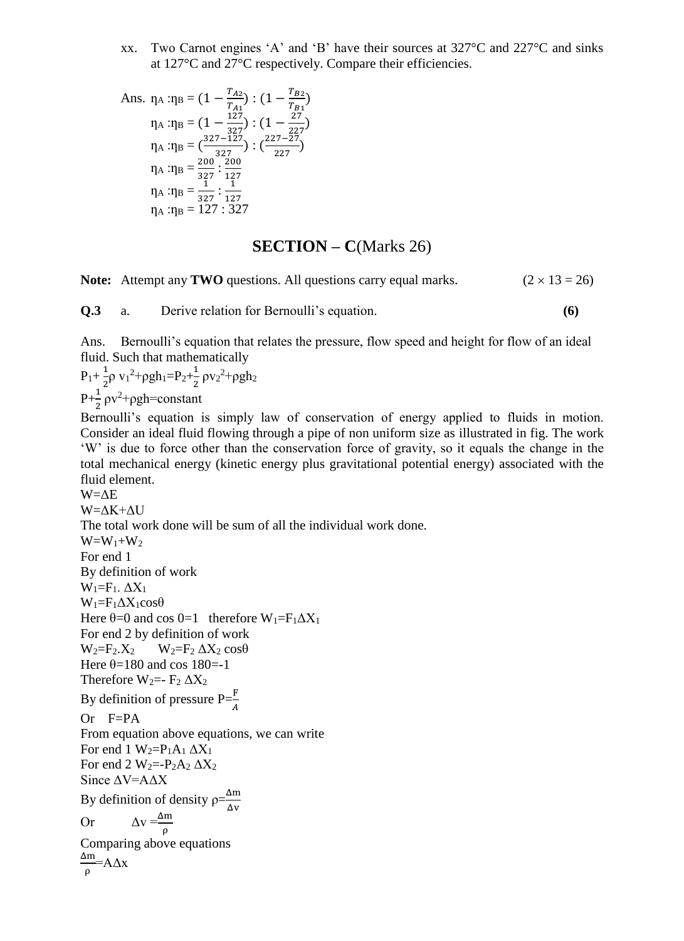xx. Two Carnot engines 'A' and 'B' have their sources at 327°C and 227°C and sinks at 127°C and 27°C respectively. Compare their efficiencies.

Ans. 
$$
\eta_A : \eta_B = (1 - \frac{T_{A2}}{T_{A1}}) : (1 - \frac{T_{B2}}{T_{B1}})
$$
  
\n $\eta_A : \eta_B = (1 - \frac{127}{327}) : (1 - \frac{27}{227})$   
\n $\eta_A : \eta_B = (\frac{327 - 127}{327}) : (\frac{227 - 27}{227})$   
\n $\eta_A : \eta_B = \frac{200}{327} : \frac{200}{127}$   
\n $\eta_A : \eta_B = \frac{1}{327} : \frac{1}{127}$   
\n $\eta_A : \eta_B = 127 : 327$ 

#### **SECTION – C**(Marks 26)

**Note:** Attempt any **TWO** questions. All questions carry equal marks. ( $2 \times 13 = 26$ )

**Q.3** a. Derive relation for Bernoulli's equation. **(6)**

Ans. Bernoulli's equation that relates the pressure, flow speed and height for flow of an ideal fluid. Such that mathematically

 $P_1 + \frac{1}{2}$  $\frac{1}{2}$ ρ v<sub>1</sub><sup>2</sup>+ρgh<sub>1</sub>=P<sub>2</sub>+ $\frac{1}{2}$  $\frac{1}{2} \rho v_2^2 + \rho g h_2$  $P+\frac{1}{2}\rho v^2+\rho gh=constant$ 

Bernoulli's equation is simply law of conservation of energy applied to fluids in motion. Consider an ideal fluid flowing through a pipe of non uniform size as illustrated in fig. The work 'W' is due to force other than the conservation force of gravity, so it equals the change in the total mechanical energy (kinetic energy plus gravitational potential energy) associated with the fluid element.

W=ΔE W=ΔK+ΔU The total work done will be sum of all the individual work done.  $W=W_1+W_2$ For end 1 By definition of work  $W_1=F_1. \Delta X_1$  $W_1 = F_1 \Delta X_1 \cos \theta$ Here  $\theta$ =0 and cos 0=1 therefore W<sub>1</sub>=F<sub>1</sub> $\Delta$ X<sub>1</sub> For end 2 by definition of work  $W_2 = F_2.X_2$   $W_2 = F_2 \Delta X_2 \cos\theta$ Here  $\theta$ =180 and cos 180=-1 Therefore  $W_2 = -F_2 \Delta X_2$ By definition of pressure  $P=\frac{F}{A}$  $Or$  F=PA From equation above equations, we can write For end 1  $W_2 = P_1A_1 \Delta X_1$ For end 2  $W_2 = -P_2A_2 \Delta X_2$ Since ΔV=AΔX By definition of density  $\rho = \frac{\Delta m}{\Delta m}$ Δv Or  $\Delta v = \frac{\Delta m}{\rho}$ Comparing above equations Δm ρ  $=$  $A\Delta x$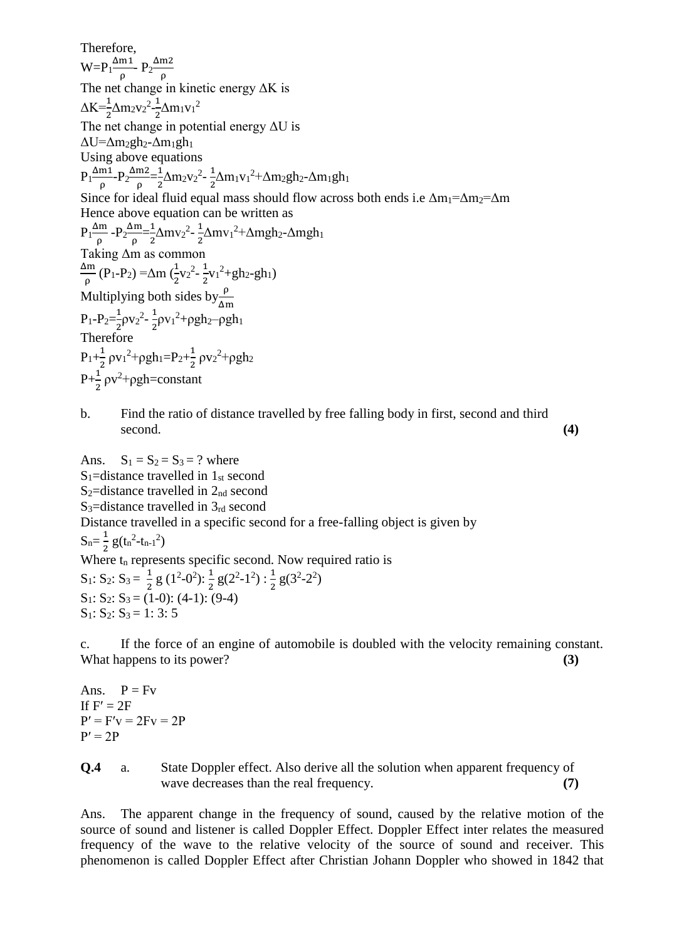Therefore,  $W = P_1 \frac{\Delta m_1}{a}$  $\frac{m_1}{\rho}$ - P<sub>2</sub> $\frac{\Delta m_2}{\rho}$ ρ The net change in kinetic energy ΔK is  $\Delta K = \frac{1}{2} \Delta m_2 v_2^2 - \frac{1}{2}$  $\frac{1}{2} \Delta m_1 v_1^2$ The net change in potential energy  $\Delta U$  is  $\Delta U = \Delta m_2gh_2 - \Delta m_1gh_1$ Using above equations  $P_1 \frac{\Delta m_1}{a}$  $\frac{\text{m1}}{\rho}$ - $P_2 \frac{\Delta \text{m2}}{\rho}$  $\frac{\text{m2}}{\text{ρ}} = \frac{1}{2}$  $\frac{1}{2} \Delta m_2 v_2^2 - \frac{1}{2}$  $\frac{1}{2}\Delta m_1v_1^2+\Delta m_2gh_2-\Delta m_1gh_1$ Since for ideal fluid equal mass should flow across both ends i.e  $\Delta m_1 = \Delta m_2 = \Delta m$ Hence above equation can be written as  $P_1 \frac{\Delta m}{\Delta}$  $\frac{\Delta m}{\rho}$  -  $P_2 \frac{\Delta m}{\rho}$  $\frac{\Delta m}{\rho} = \frac{1}{2}$  $\frac{1}{2} \Delta m v_2^2 - \frac{1}{2}$  $\frac{1}{2} \Delta m v_1^2 + \Delta m g h_2 - \Delta m g h_1$ Taking Δm as common Δm  $\frac{\Delta m}{\rho}$  (P<sub>1</sub>-P<sub>2</sub>) = Δm ( $\frac{1}{2}$  $rac{1}{2}v_2^2 - \frac{1}{2}$  $\frac{1}{2}v_1^2 + gh_2 - gh_1$ Multiplying both sides by  $\frac{\rho}{\Delta m}$  $P_1-P_2=\frac{1}{2}$  $\frac{1}{2} \rho v_2^2 - \frac{1}{2}$  $\frac{1}{2}$ ρv<sub>1</sub><sup>2</sup>+ρgh<sub>2</sub>-ρgh<sub>1</sub> Therefore  $P_1+\frac{1}{2}$  $\frac{1}{2} \rho v_1^2 + \rho g h_1 = P_2 + \frac{1}{2}$  $\frac{1}{2} \rho v_2^2 + \rho g h_2$  $P + \frac{1}{2}$  $\frac{1}{2}$   $\rho v^2 + \rho gh = constant$ 

### b. Find the ratio of distance travelled by free falling body in first, second and third second. **(4)**

Ans.  $S_1 = S_2 = S_3 = ?$  where  $S_1$ =distance travelled in  $1_{st}$  second  $S_2$ =distance travelled in  $2_{nd}$  second S<sub>3</sub>=distance travelled in  $3<sub>rd</sub>$  second Distance travelled in a specific second for a free-falling object is given by  $S_n = \frac{1}{2}$  $\frac{1}{2}g(t_n^2-t_{n-1}^2)$ Where  $t_n$  represents specific second. Now required ratio is  $S_1: S_2: S_3 = \frac{1}{3}$  $\frac{1}{2}$  g (1<sup>2</sup>-0<sup>2</sup>):  $\frac{1}{2}$  g(2<sup>2</sup>-1<sup>2</sup>):  $\frac{1}{2}$  g(3<sup>2</sup>-2<sup>2</sup>)  $S_1: S_2: S_3 = (1-0): (4-1): (9-4)$  $S_1: S_2: S_3 = 1: 3: 5$ 

c. If the force of an engine of automobile is doubled with the velocity remaining constant. What happens to its power? **(3) (3)** 

Ans.  $P = Fv$ If  $F' = 2F$  $P' = F'v = 2Fv = 2P$  $P' = 2P$ 

**Q.4** a. State Doppler effect. Also derive all the solution when apparent frequency of wave decreases than the real frequency. **(7)**

Ans. The apparent change in the frequency of sound, caused by the relative motion of the source of sound and listener is called Doppler Effect. Doppler Effect inter relates the measured frequency of the wave to the relative velocity of the source of sound and receiver. This phenomenon is called Doppler Effect after Christian Johann Doppler who showed in 1842 that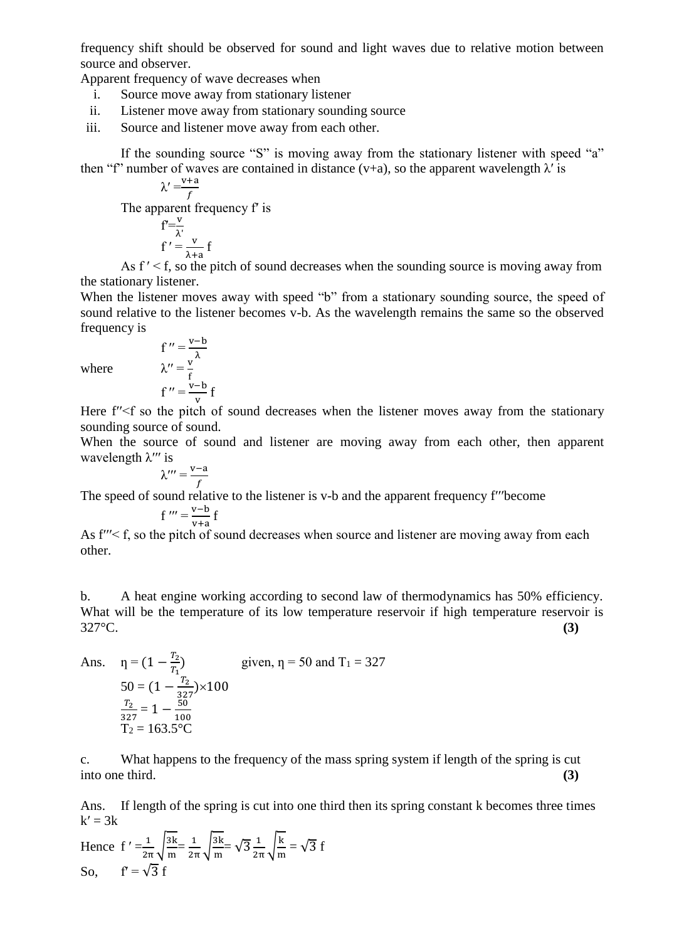frequency shift should be observed for sound and light waves due to relative motion between source and observer.

Apparent frequency of wave decreases when

- i. Source move away from stationary listener
- ii. Listener move away from stationary sounding source
- iii. Source and listener move away from each other.

If the sounding source "S" is moving away from the stationary listener with speed "a" then "f" number of waves are contained in distance (v+a), so the apparent wavelength  $\lambda'$  is

$$
\lambda' = \frac{v+a}{f}
$$

The apparent frequency fʹ is

$$
f' = \frac{v}{\lambda'}
$$
  
f' =  $\frac{v}{\lambda + a}$  f

As  $f' < f$ , so the pitch of sound decreases when the sounding source is moving away from the stationary listener.

When the listener moves away with speed "b" from a stationary sounding source, the speed of sound relative to the listener becomes v-b. As the wavelength remains the same so the observed frequency is

where  $f'' = \frac{v - b}{\lambda}$ <br>where  $\lambda'' = \frac{v}{f}$ 

$$
f'' = \frac{f}{v} + \frac{f}{v}
$$

Here f''<f so the pitch of sound decreases when the listener moves away from the stationary sounding source of sound.

When the source of sound and listener are moving away from each other, then apparent wavelength  $\lambda$ <sup>*'''*</sup> is

$$
\lambda''' = \frac{v-a}{f}
$$

The speed of sound relative to the listener is v-b and the apparent frequency f<sup>*'''*become</sup>

$$
f''' = \frac{v - b}{v + a} f
$$

As  $f'' < f$ , so the pitch of sound decreases when source and listener are moving away from each other.

b. A heat engine working according to second law of thermodynamics has 50% efficiency. What will be the temperature of its low temperature reservoir if high temperature reservoir is 327°C. **(3)**

Ans. 
$$
\eta = (1 - \frac{T_2}{T_1})
$$
 given,  $\eta = 50$  and  $T_1 = 327$   
\n
$$
50 = (1 - \frac{T_2}{327}) \times 100
$$
\n
$$
\frac{T_2}{327} = 1 - \frac{50}{100}
$$
\n
$$
T_2 = 163.5^{\circ}\text{C}
$$

c. What happens to the frequency of the mass spring system if length of the spring is cut into one third. **(3)**

Ans. If length of the spring is cut into one third then its spring constant k becomes three times  $k' = 3k$ 

Hence 
$$
f' = \frac{1}{2\pi} \sqrt{\frac{3k}{m}} = \frac{1}{2\pi} \sqrt{\frac{3k}{m}} = \sqrt{3} \frac{1}{2\pi} \sqrt{\frac{k}{m}} = \sqrt{3} f
$$
  
So,  $f' = \sqrt{3} f$